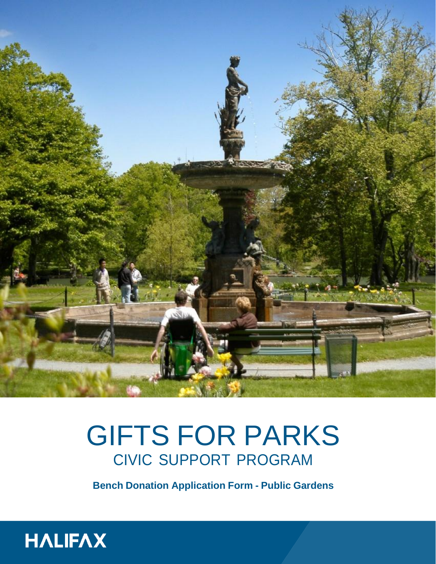

# GIFTS FOR PARKS CIVIC SUPPORT PROGRAM

**Bench Donation Application Form - Public Gardens**

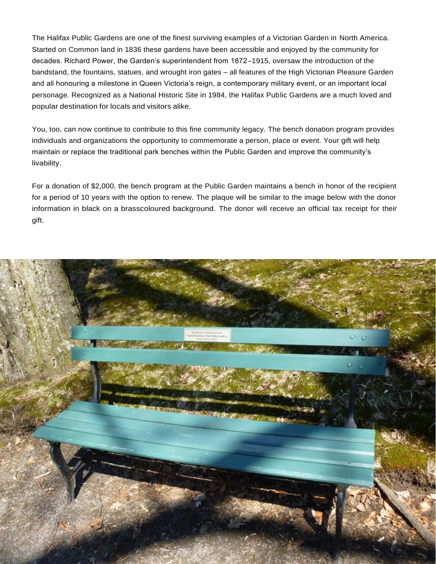The Halifax Public Gardens are one of the finest surviving examples of a Victorian Garden in North America. Started on Common land in 1836 these gardens have been accessible and enjoyed by the community for decades. Richard Power, the Garden's superintendent from 1872–1915, oversaw the introduction of the bandstand, the fountains, statues, and wrought iron gates – all features of the High Victorian Pleasure Garden and all honouring a milestone in Queen Victoria's reign, a contemporary military event, or an important local personage. Recognized as a National Historic Site in 1984, the Halifax Public Gardens are a much loved and popular destination for locals and visitors alike.

You, too, can now continue to contribute to this fine community legacy. The bench donation program provides individuals and organizations the opportunity to commemorate a person, place or event. Your gift will help maintain or replace the traditional park benches within the Public Garden and improve the community's livability.

For a donation of \$2,000, the bench program at the Public Garden maintains a bench in honor of the recipient for a period of 10 years with the option to renew. The plaque will be similar to the image below with the donor information in black on a brasscoloured background. The donor will receive an official tax receipt for their gift.

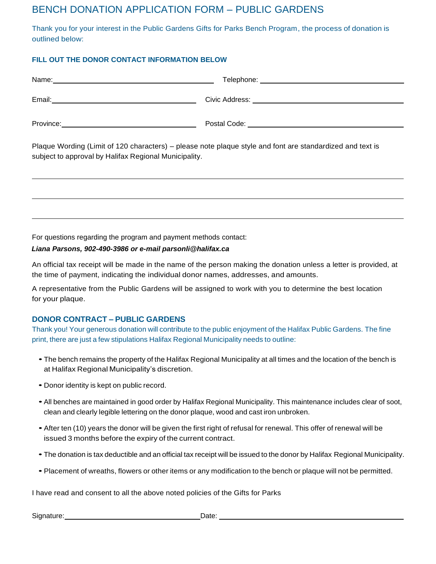## BENCH DONATION APPLICATION FORM – PUBLIC GARDENS

Thank you for your interest in the Public Gardens Gifts for Parks Bench Program, the process of donation is outlined below:

### **FILL OUT THE DONOR CONTACT INFORMATION BELOW**

| Plaque Wording (Limit of 120 characters) – please note plaque style and font are standardized and text is<br>subject to approval by Halifax Regional Municipality. |  |
|--------------------------------------------------------------------------------------------------------------------------------------------------------------------|--|
|                                                                                                                                                                    |  |
|                                                                                                                                                                    |  |

For questions regarding the program and payment methods contact:

#### *Liana Parsons, 902-490-3986 or e-mail parsonli@halifax.ca*

An official tax receipt will be made in the name of the person making the donation unless a letter is provided, at the time of payment, indicating the individual donor names, addresses, and amounts.

A representative from the Public Gardens will be assigned to work with you to determine the best location for your plaque.

### **DONOR CONTRACT – PUBLIC GARDENS**

Thank you! Your generous donation will contribute to the public enjoyment of the Halifax Public Gardens. The fine print, there are just a few stipulations Halifax Regional Municipality needs to outline:

- The bench remains the property of the Halifax Regional Municipality at all times and the location of the bench is at Halifax Regional Municipality's discretion.
- Donor identity is kept on public record.
- •All benches are maintained in good order by Halifax Regional Municipality. This maintenance includes clear of soot, clean and clearly legible lettering on the donor plaque, wood and cast iron unbroken.
- After ten (10) years the donor will be given the first right of refusal for renewal. This offer of renewal will be issued 3 months before the expiry of the current contract.
- The donation is tax deductible and an official tax receipt will be issued to the donor by Halifax Regional Municipality.
- Placement of wreaths, flowers or other items or any modification to the bench or plaque will not be permitted.

I have read and consent to all the above noted policies of the Gifts for Parks

Signature: Date: Date: